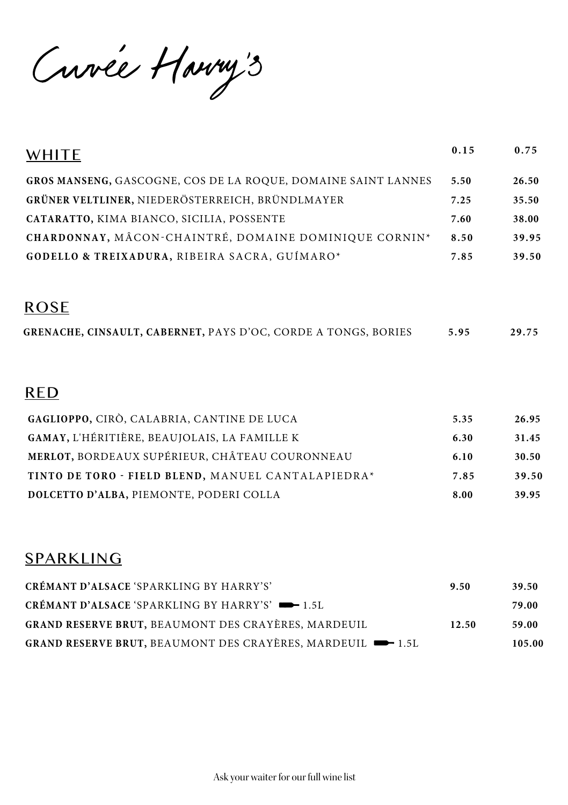Curée Harry's

| <b>WHITE</b>                                                          | 0.15 | 0.75  |
|-----------------------------------------------------------------------|------|-------|
| GROS MANSENG, GASCOGNE, COS DE LA ROQUE, DOMAINE SAINT LANNES         | 5.50 | 26.50 |
| GRÜNER VELTLINER, NIEDERÖSTERREICH, BRÜNDLMAYER                       | 7.25 | 35.50 |
| CATARATTO, KIMA BIANCO, SICILIA, POSSENTE                             | 7.60 | 38.00 |
| CHARDONNAY, MÂCON-CHAINTRÉ, DOMAINE DOMINIQUE CORNIN*                 | 8.50 | 39.95 |
| GODELLO & TREIXADURA, RIBEIRA SACRA, GUÍMARO*                         | 7.85 | 39.50 |
| <b>ROSE</b>                                                           |      |       |
| <b>GRENACHE, CINSAULT, CABERNET, PAYS D'OC, CORDE A TONGS, BORIES</b> | 5.95 | 29.75 |
| <b>RED</b>                                                            |      |       |
| GAGLIOPPO, CIRÒ, CALABRIA, CANTINE DE LUCA                            | 5.35 | 26.95 |
| <b>GAMAY, L'HÉRITIÈRE, BEAUJOLAIS, LA FAMILLE K</b>                   | 6.30 | 31.45 |
| MERLOT, BORDEAUX SUPÉRIEUR, CHÂTEAU COURONNEAU                        | 6.10 | 30.50 |
| TINTO DE TORO - FIELD BLEND, MANUEL CANTALAPIEDRA*                    | 7.85 | 39.50 |
| DOLCETTO D'ALBA, PIEMONTE, PODERI COLLA                               | 8.00 | 39.95 |

### SPARKLING

| CRÉMANT D'ALSACE 'SPARKLING BY HARRY'S'                                                  | 9.50  | 39.50  |
|------------------------------------------------------------------------------------------|-------|--------|
| <b>CRÉMANT D'ALSACE 'SPARKLING BY HARRY'S' -</b> 1.5L                                    |       | 79.00  |
| <b>GRAND RESERVE BRUT, BEAUMONT DES CRAYÈRES, MARDEUIL</b>                               | 12.50 | 59.00  |
| <b>GRAND RESERVE BRUT, BEAUMONT DES CRAYÈRES, MARDEUIL <math>\rightarrow</math> 1.5L</b> |       | 105.00 |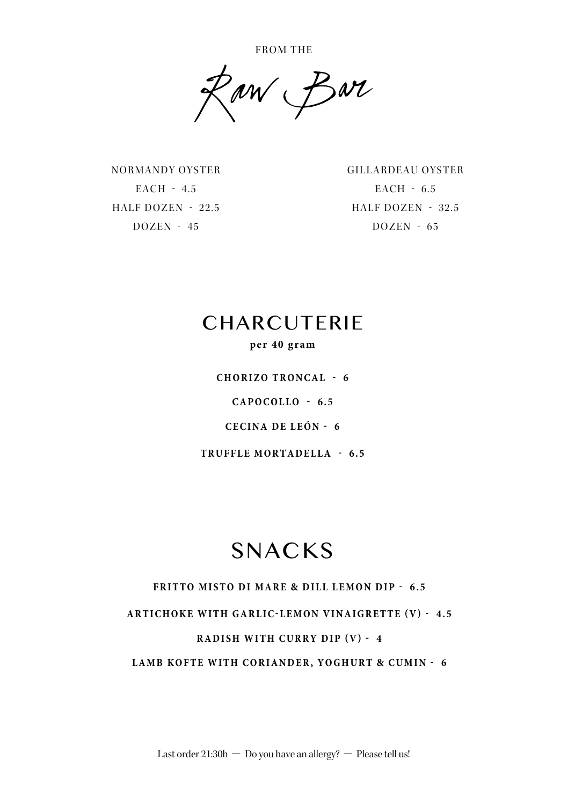FROM THE

Raw Bar

NORMANDY OYSTER EACH - 4.5 HALF DOZEN - 22.5 DOZEN - 45

GILLARDEAU OYSTER EACH - 6.5 HALF DOZEN - 32.5  $DOZEN - 65$ 

# **CHARCUTERIE**

#### **per 40 gram**

**CHORIZO TRONCAL - 6 CAPOCOLLO - 6.5 CECINA DE LEÓN - 6**

**TRUFFLE MORTADELLA - 6.5**

# SNACKS

#### **FRITTO MISTO DI MARE & DILL LEMON DIP - 6.5**

ARTICHOKE WITH GARLIC-LEMON VINAIGRETTE (V) - 4.5

#### **RADISH WITH CURRY DIP (V) - 4**

**LAMB KOFTE WITH CORIANDER, YOGHURT & CUMIN - 6**

Last order  $21:30h$  – Do you have an allergy? – Please tell us!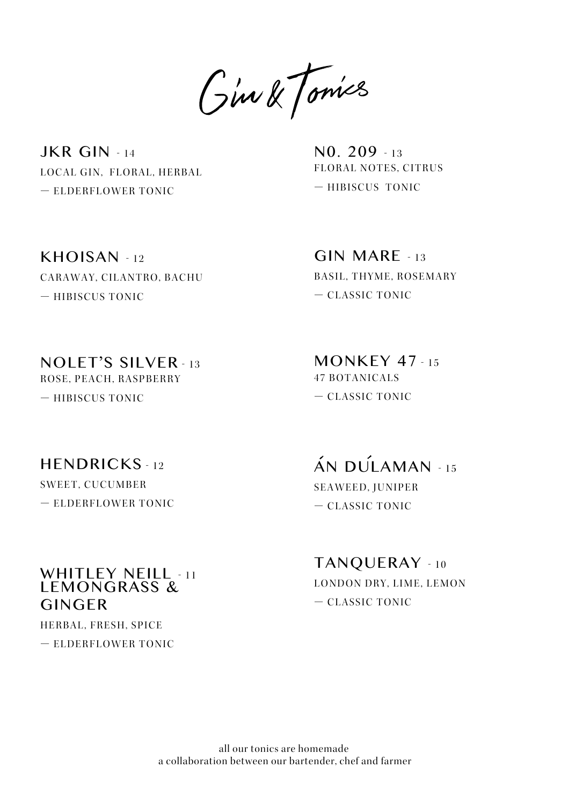Gim & Tomics

JKR GIN - 14 LOCAL GIN, FLORAL, HERBAL — ELDERFLOWER TONIC

N0. 209 - 13 FLORAL NOTES, CITRUS — HIBISCUS TONIC

KHOISAN - 12 CARAWAY, CILANTRO, BACHU — HIBISCUS TONIC

 $GIN$   $MARF - 13$ BASIL, THYME, ROSEMARY — CLASSIC TONIC

NOLET'S SILVER - 13 ROSE, PEACH, RASPBERRY — HIBISCUS TONIC

 $MONKEY$  47 - 15 47 BOTANICALS — CLASSIC TONIC

#### $HFNDRICKS - 12$

SWEET, CUCUMBER — ELDERFLOWER TONIC

#### WHITLEY NEILL - 11 LEMONGRASS & GINGER

HERBAL, FRESH, SPICE

— ELDERFLOWER TONIC

 $AN$  DUI AMAN - 15 SEAWEED, JUNIPER — CLASSIC TONIC

TANQUERAY - 10 LONDON DRY, LIME, LEMON — CLASSIC TONIC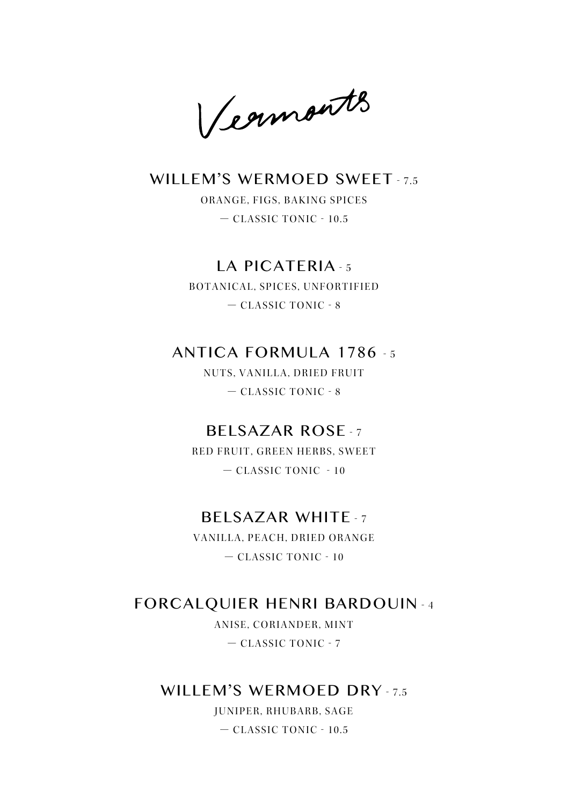Vegmonts

#### WILLEM'S WERMOED SWEET - 7.5

ORANGE, FIGS, BAKING SPICES — CLASSIC TONIC - 10.5

#### LA PICATERIA - 5

BOTANICAL, SPICES, UNFORTIFIED — CLASSIC TONIC - 8

#### ANTICA FORMULA 1786 - 5

NUTS, VANILLA, DRIED FRUIT — CLASSIC TONIC - 8

#### BELSAZAR ROSE - 7

RED FRUIT, GREEN HERBS, SWEET — CLASSIC TONIC - 10

#### BELSAZAR WHITE - 7

VANILLA, PEACH, DRIED ORANGE — CLASSIC TONIC - 10

#### FORCALQUIER HENRI BARDOUIN - 4

ANISE, CORIANDER, MINT — CLASSIC TONIC - 7

#### WILLEM'S WERMOED DRY - 7.5

JUNIPER, RHUBARB, SAGE — CLASSIC TONIC - 10.5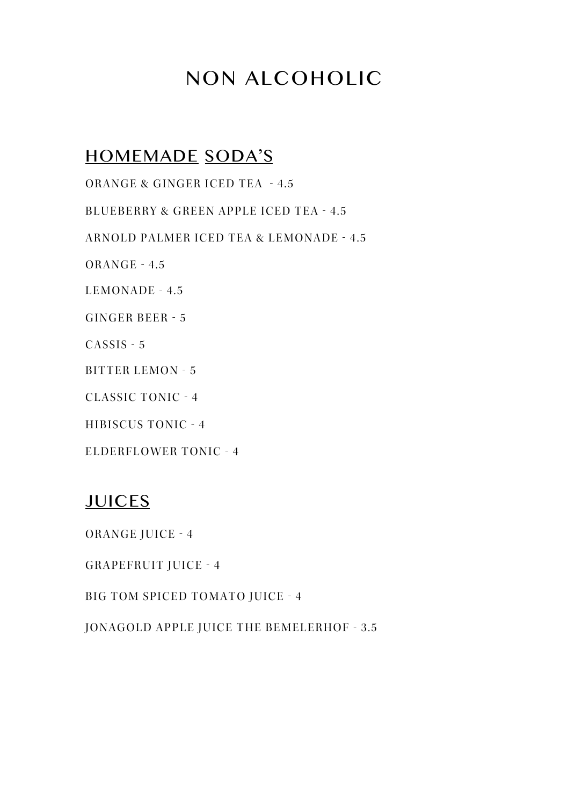# NON ALCOHOLIC

### HOMEMADE SODA'S

ORANGE & GINGER ICED TEA - 4.5

BLUEBERRY & GREEN APPLE ICED TEA - 4.5

ARNOLD PALMER ICED TEA & LEMONADE - 4.5

ORANGE - 4.5

LEMONADE - 4.5

GINGER BEER - 5

CASSIS - 5

BITTER LEMON - 5

CLASSIC TONIC - 4

HIBISCUS TONIC - 4

ELDERFLOWER TONIC - 4

#### JUICES

ORANGE JUICE - 4

GRAPEFRUIT JUICE - 4

BIG TOM SPICED TOMATO JUICE - 4

JONAGOLD APPLE JUICE THE BEMELERHOF - 3.5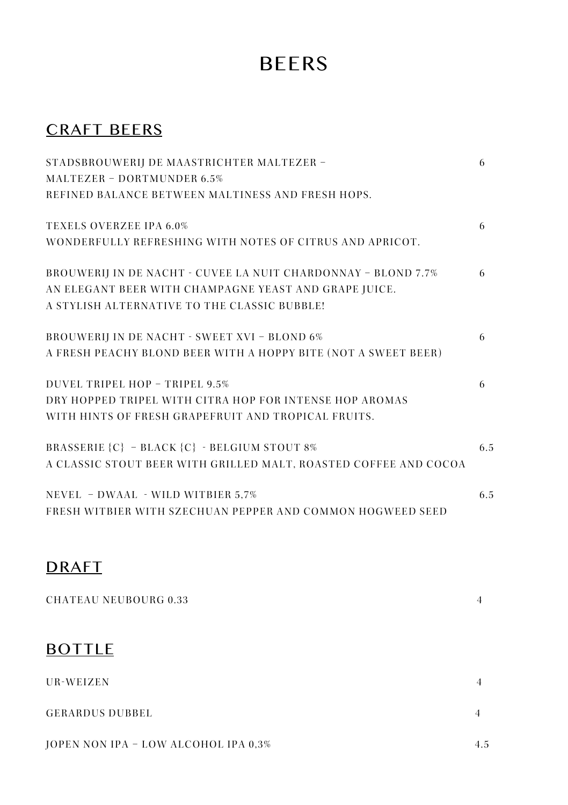# BEERS

### CRAFT BEERS

| STADSBROUWERIJ DE MAASTRICHTER MALTEZER -                        | 6   |
|------------------------------------------------------------------|-----|
| MALTEZER - DORTMUNDER 6.5%                                       |     |
| REFINED BALANCE BETWEEN MALTINESS AND FRESH HOPS.                |     |
| <b>TEXELS OVERZEE IPA 6.0%</b>                                   | 6   |
| WONDERFULLY REFRESHING WITH NOTES OF CITRUS AND APRICOT.         |     |
| BROUWERIJ IN DE NACHT - CUVEE LA NUIT CHARDONNAY - BLOND 7.7%    | 6   |
| AN ELEGANT BEER WITH CHAMPAGNE YEAST AND GRAPE JUICE.            |     |
| A STYLISH ALTERNATIVE TO THE CLASSIC BUBBLE!                     |     |
| <b>BROUWERIJ IN DE NACHT - SWEET XVI - BLOND 6%</b>              | 6   |
| A FRESH PEACHY BLOND BEER WITH A HOPPY BITE (NOT A SWEET BEER)   |     |
| DUVEL TRIPEL HOP - TRIPEL 9.5%                                   | 6   |
| DRY HOPPED TRIPEL WITH CITRA HOP FOR INTENSE HOP AROMAS          |     |
| WITH HINTS OF FRESH GRAPEFRUIT AND TROPICAL FRUITS.              |     |
| BRASSERIE {C} - BLACK {C} - BELGIUM STOUT 8%                     | 6.5 |
| A CLASSIC STOUT BEER WITH GRILLED MALT, ROASTED COFFEE AND COCOA |     |
| NEVEL - DWAAL - WILD WITBIER 5,7%                                | 6.5 |
| FRESH WITBIER WITH SZECHUAN PEPPER AND COMMON HOGWEED SEED       |     |
|                                                                  |     |

### DRAFT

| <b>CHATEAU NEUBOURG 0.33</b>         |     |
|--------------------------------------|-----|
| <b>BOTTLE</b>                        |     |
| UR-WEIZEN                            | 4   |
| <b>GERARDUS DUBBEL</b>               | 4   |
| JOPEN NON IPA - LOW ALCOHOL IPA 0,3% | 4.5 |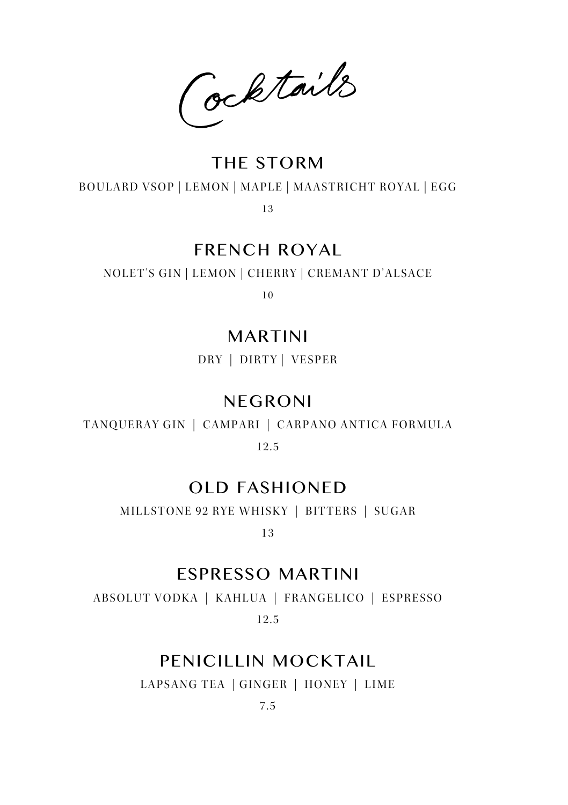Cocktails

#### THE STORM

#### BOULARD VSOP | LEMON | MAPLE | MAASTRICHT ROYAL | EGG

1 3

### FRENCH ROYAL

NOLET'S GIN | LEMON | CHERRY | CREMANT D'ALSACE

1 0

#### MARTINI

DRY | DIRTY | VESPER

#### NEGRONI

TANQUERAY GIN | CAMPARI | CARPANO ANTICA FORMULA

12.5

### OLD FASHIONED

MILLSTONE 92 RYE WHISKY | BITTERS | SUGAR

1 3

#### ESPRESSO MARTINI

ABSOLUT VODKA | KAHLUA | FRANGELICO | ESPRESSO 12.5

### PENICILLIN MOCKTAIL

LAPSANG TEA | GINGER | HONEY | LIME

7.5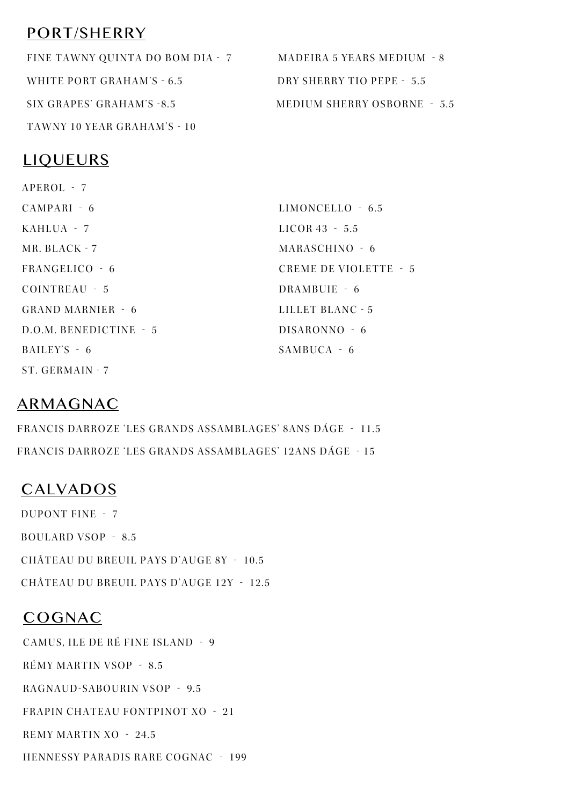### PORT/SHERRY

FINE TAWNY QUINTA DO BOM DIA - 7 MADEIRA 5 YEARS MEDIUM - 8 WHITE PORT GRAHAM'S - 6.5 DRY SHERRY TIO PEPE - 5.5 SIX GRAPES' GRAHAM'S -8.5 MEDIUM SHERRY OSBORNE - 5.5 TAWNY 10 YEAR GRAHAM'S - 10

#### LIQUEURS

APEROL - 7 CAMPARI - 6 KAHLUA - 7 MR. BLACK - 7 FRANGELICO - 6 COINTREAU - 5 GRAND MARNIER - 6 D.O.M. BENEDICTINE - 5 BAILEY'S - 6 ST. GERMAIN - 7 LIMONCELLO - 6.5 LICOR 43 - 5.5 MARASCHINO - 6 CREME DE VIOLETTE - 5 DRAMBUIE - 6 LILLET BLANC - 5 DISARONNO - 6 SAMBUCA - 6

#### ARMAGNAC

FRANCIS DARROZE 'LES GRANDS ASSAMBLAGES' 8ANS DÁGE - 11.5 FRANCIS DARROZE 'LES GRANDS ASSAMBLAGES' 12ANS DÁGE - 15

### CALVADOS

DUPONT FINE - 7 BOULARD VSOP - 8.5 CHÂTEAU DU BREUIL PAYS D'AUGE 8Y - 10.5 CHÂTEAU DU BREUIL PAYS D'AUGE 12Y - 12.5

#### COGNAC

CAMUS, ILE DE RÉ FINE ISLAND - 9 RÉMY MARTIN VSOP - 8.5 RAGNAUD-SABOURIN VSOP - 9.5 FRAPIN CHATEAU FONTPINOT XO - 21 REMY MARTIN XO - 24.5 HENNESSY PARADIS RARE COGNAC - 199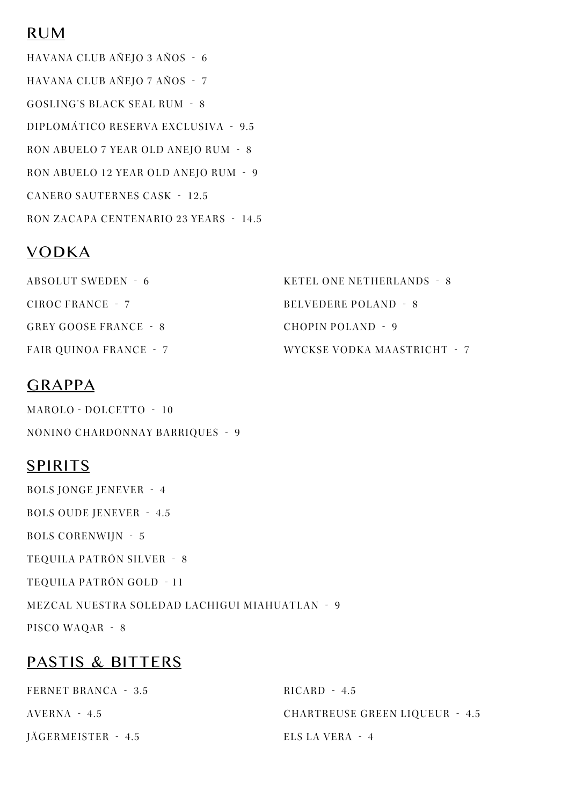#### RUM

HAVANA CLUB AÑEJO 3 AÑOS - 6 HAVANA CLUB AÑEJO 7 AÑOS - 7 GOSLING'S BLACK SEAL RUM - 8 DIPLOMÁTICO RESERVA EXCLUSIVA - 9.5 RON ABUELO 7 YEAR OLD ANEJO RUM - 8 RON ABUELO 12 YEAR OLD ANEJO RUM - 9 CANERO SAUTERNES CASK - 12.5 RON ZACAPA CENTENARIO 23 YEARS - 14.5

### VODKA

| ABSOLUT SWEDEN - 6            | KETEL ONE NETHERLANDS - 8   |
|-------------------------------|-----------------------------|
| CIROC FRANCE - 7              | BELVEDERE POLAND - 8        |
| GREY GOOSE FRANCE - 8         | CHOPIN POLAND - 9           |
| <b>FAIR OUINOA FRANCE - 7</b> | WYCKSE VODKA MAASTRICHT - 7 |

#### GRAPPA

MAROLO - DOLCETTO - 10 NONINO CHARDONNAY BARRIQUES - 9

### SPIRITS

BOLS JONGE JENEVER - 4 BOLS OUDE JENEVER - 4.5 BOLS CORENWIJN - 5 TEQUILA PATRÓN SILVER - 8 TEQUILA PATRÓN GOLD - 11 MEZCAL NUESTRA SOLEDAD LACHIGUI MIAHUATLAN - 9 PISCO WAQAR - 8

#### PASTIS & BITTERS

| FERNET BRANCA - 3.5 | $RICARD - 4.5$                        |
|---------------------|---------------------------------------|
| AVERNA - 4.5        | <b>CHARTREUSE GREEN LIQUEUR - 4.5</b> |
| JÄGERMEISTER - 4.5  | ELS LA VERA - 4                       |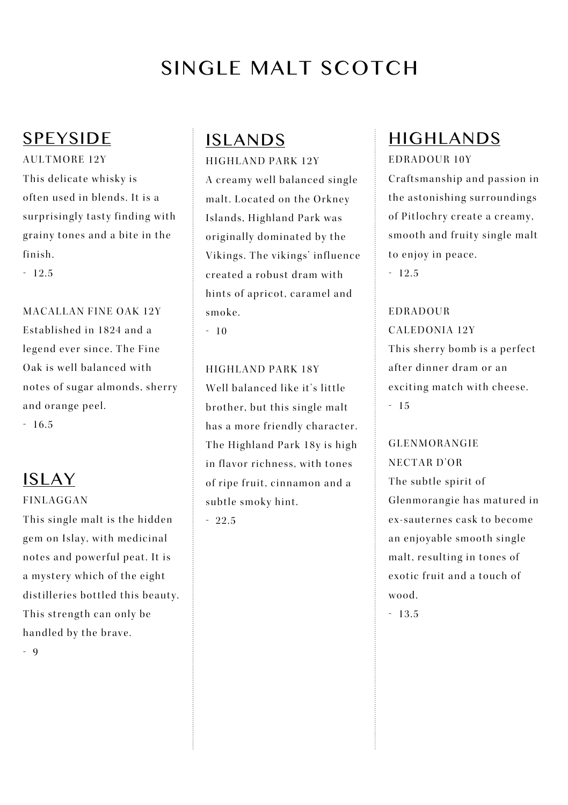# SINGLE MALT SCOTCH

#### **SPEYSIDE**

AULTMORE 12Y This delicate whisky is often used in blends. It is a surprisingly tasty finding with grainy tones and a bite in the finish.

- 12.5

MACALLAN FINE OAK 12Y Established in 1824 and a legend ever since. The Fine Oak is well balanced with notes of sugar almonds, sherry and orange peel.

- 16.5

### ISLAY

FINLAGGAN This single malt is the hidden

gem on Islay, with medicinal notes and powerful peat. It is a mystery which of the eight distilleries bottled this beauty. This strength can only be handled by the brave.  $-9$ 

## ISLANDS

HIGHLAND PARK 12Y A creamy well balanced single malt. Located on the Orkney Islands, Highland Park was originally dominated by the Vikings. The vikings' influence created a robust dram with hints of apricot, caramel and smoke.

 $-10$ 

HIGHLAND PARK 18Y Well halanced like it's little brother, but this single malt has a more friendly character. The Highland Park 18v is high in flavor richness, with tones of ripe fruit, cinnamon and a subtle smoky hint.

- 22.5

## HIGHLANDS

EDRADOUR 10Y

Craftsmanship and passion in the astonishing surroundings of Pitlochry create a creamy, smooth and fruity single malt to enjoy in peace. - 12.5

EDRADOUR CALEDONIA 12Y This sherry bomb is a perfect after dinner dram or an exciting match with cheese. - 15

GLENMORANGIE NECTAR D'OR The subtle spirit of Glenmorangie has matured in ex-sauternes cask to become an eniovable smooth single malt, resulting in tones of exotic fruit and a touch of wood.

- 13.5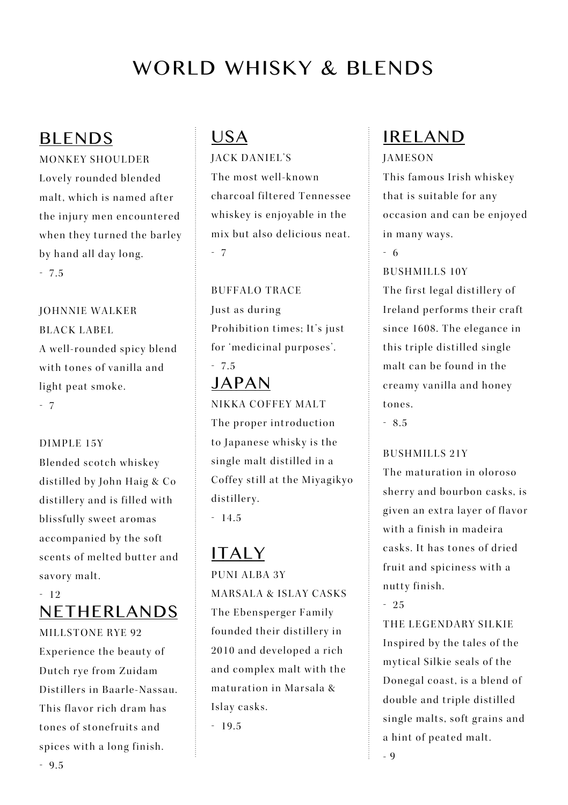# WORLD WHISKY & BLENDS

#### BLENDS

MONKEY SHOULDER Lovely rounded blended malt which is named after the injury men encountered when they turned the barley by hand all day long. - 7.5

JOHNNIE WALKER BLACK LABEL A well-rounded spicy blend with tones of vanilla and light peat smoke. - 7

DIMPLE 15Y Blended scotch whiskey distilled by John Haig & Co distillery and is filled with blissfully sweet aromas accompanied by the soft scents of melted butter and savory malt.

#### - 12 NETHERLANDS

MILLSTONE RYE 92 Experience the beauty of Dutch rve from Zuidam Distillers in Baarle-Nassau This flavor rich dram has tones of stonefruits and spices with a long finish. - 9.5

# USA

JACK DANIEL'S The most well-known charcoal filtered Tennessee whiskey is eniovable in the mix but also delicious neat. - 7

BUFFALO TRACE Just as during Prohibition times: It's just for 'medicinal purposes'. - 7.5

# JAPAN

NIKKA COFFEY MALT

The proper introduction to Japanese whisky is the single malt distilled in a Coffey still at the Miyagikyo distillerv. - 14.5

# ITALY

PUNI ALBA 3Y MARSALA & ISLAY CASKS The Ebensperger Family founded their distillery in 2010 and developed a rich and complex malt with the m a turation in Marsala & Islav casks.

- 19.5

# IRELAND

#### JAMESON

This famous Irish whiskey that is suitable for any occasion and can be enjoyed in many ways.

- 6

#### BUSHMILLS 10Y

The first legal distillery of I reland performs their craft since 1608. The elegance in this triple distilled single malt can be found in the creamy vanilla and honey tones.

- 8.5

#### BUSHMILLS 21Y

The maturation in oloroso sherry and bourbon casks, is given an extra layer of flavor with a finish in madeira casks. It has tones of dried fruit and spiciness with a nutty finish.

- 25

THE LEGENDARY SILKIE Inspired by the tales of the mytical Silkie seals of the Donegal coast, is a blend of double and triple distilled single malts, soft grains and a hint of peated malt. - 9